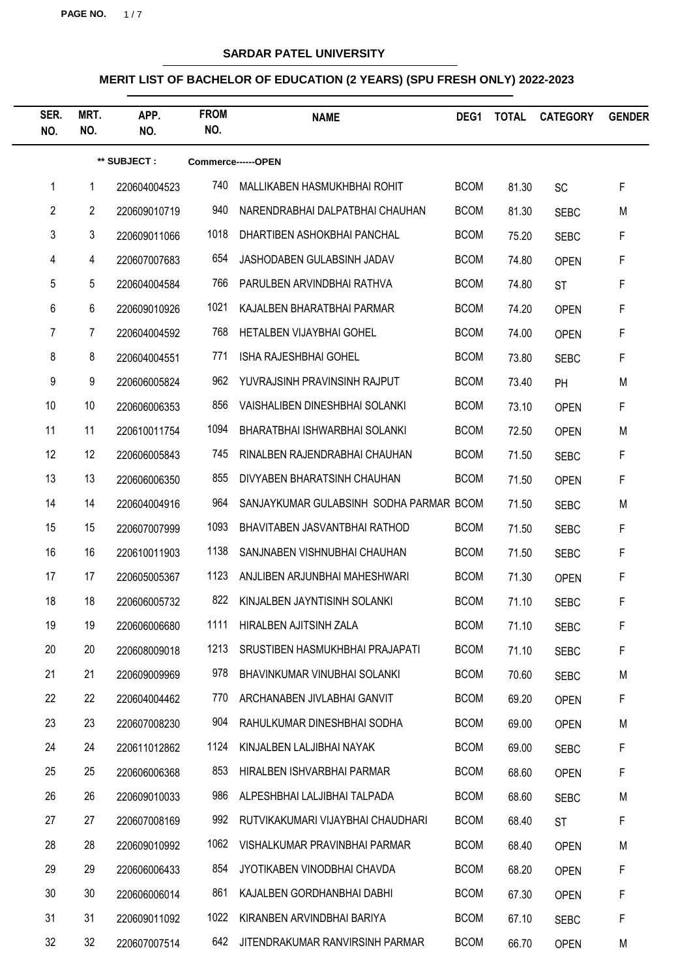**PAGE NO.** 1/7

# **SARDAR PATEL UNIVERSITY**

| SER.<br>NO.    | MRT.<br>NO.    | APP.<br>NO.  | <b>FROM</b><br>NO. | <b>NAME</b>                             | DEG1        | <b>TOTAL</b> | <b>CATEGORY</b> | <b>GENDER</b> |  |
|----------------|----------------|--------------|--------------------|-----------------------------------------|-------------|--------------|-----------------|---------------|--|
|                | ** SUBJECT :   |              | Commerce------OPEN |                                         |             |              |                 |               |  |
| 1              | $\mathbf 1$    | 220604004523 | 740                | MALLIKABEN HASMUKHBHAI ROHIT            | <b>BCOM</b> | 81.30        | <b>SC</b>       | F             |  |
| $\overline{2}$ | $\overline{2}$ | 220609010719 | 940                | NARENDRABHAI DALPATBHAI CHAUHAN         | <b>BCOM</b> | 81.30        | <b>SEBC</b>     | M             |  |
| 3              | 3              | 220609011066 | 1018               | DHARTIBEN ASHOKBHAI PANCHAL             | <b>BCOM</b> | 75.20        | <b>SEBC</b>     | F             |  |
| 4              | $\overline{4}$ | 220607007683 | 654                | JASHODABEN GULABSINH JADAV              | <b>BCOM</b> | 74.80        | <b>OPEN</b>     | F             |  |
| 5              | 5              | 220604004584 | 766                | PARULBEN ARVINDBHAI RATHVA              | <b>BCOM</b> | 74.80        | <b>ST</b>       | F             |  |
| 6              | 6              | 220609010926 | 1021               | KAJALBEN BHARATBHAI PARMAR              | <b>BCOM</b> | 74.20        | <b>OPEN</b>     | F             |  |
| 7              | 7              | 220604004592 | 768                | HETALBEN VIJAYBHAI GOHEL                | <b>BCOM</b> | 74.00        | <b>OPEN</b>     | F             |  |
| 8              | 8              | 220604004551 | 771                | <b>ISHA RAJESHBHAI GOHEL</b>            | <b>BCOM</b> | 73.80        | <b>SEBC</b>     | F             |  |
| 9              | 9              | 220606005824 | 962                | YUVRAJSINH PRAVINSINH RAJPUT            | <b>BCOM</b> | 73.40        | PH              | M             |  |
| 10             | 10             | 220606006353 | 856                | VAISHALIBEN DINESHBHAI SOLANKI          | <b>BCOM</b> | 73.10        | <b>OPEN</b>     | F             |  |
| 11             | 11             | 220610011754 | 1094               | BHARATBHAI ISHWARBHAI SOLANKI           | <b>BCOM</b> | 72.50        | <b>OPEN</b>     | M             |  |
| 12             | 12             | 220606005843 | 745                | RINALBEN RAJENDRABHAI CHAUHAN           | <b>BCOM</b> | 71.50        | <b>SEBC</b>     | F             |  |
| 13             | 13             | 220606006350 | 855                | DIVYABEN BHARATSINH CHAUHAN             | <b>BCOM</b> | 71.50        | <b>OPEN</b>     | F             |  |
| 14             | 14             | 220604004916 | 964                | SANJAYKUMAR GULABSINH SODHA PARMAR BCOM |             | 71.50        | <b>SEBC</b>     | M             |  |
| 15             | 15             | 220607007999 | 1093               | BHAVITABEN JASVANTBHAI RATHOD           | <b>BCOM</b> | 71.50        | <b>SEBC</b>     | F             |  |
| 16             | 16             | 220610011903 | 1138               | SANJNABEN VISHNUBHAI CHAUHAN            | <b>BCOM</b> | 71.50        | <b>SEBC</b>     | F             |  |
| 17             | 17             | 220605005367 | 1123               | ANJLIBEN ARJUNBHAI MAHESHWARI           | <b>BCOM</b> | 71.30        | <b>OPEN</b>     | F             |  |
| 18             | 18             | 220606005732 | 822                | KINJALBEN JAYNTISINH SOLANKI            | <b>BCOM</b> | 71.10        | <b>SEBC</b>     | F             |  |
| 19             | 19             | 220606006680 |                    | 1111 HIRALBEN AJITSINH ZALA             | <b>BCOM</b> | 71.10        | <b>SEBC</b>     | F             |  |
| 20             | 20             | 220608009018 | 1213               | SRUSTIBEN HASMUKHBHAI PRAJAPATI         | <b>BCOM</b> | 71.10        | <b>SEBC</b>     | F             |  |
| 21             | 21             | 220609009969 | 978                | BHAVINKUMAR VINUBHAI SOLANKI            | <b>BCOM</b> | 70.60        | <b>SEBC</b>     | M             |  |
| 22             | 22             | 220604004462 | 770                | ARCHANABEN JIVLABHAI GANVIT             | <b>BCOM</b> | 69.20        | <b>OPEN</b>     | F             |  |
| 23             | 23             | 220607008230 | 904                | RAHULKUMAR DINESHBHAI SODHA             | <b>BCOM</b> | 69.00        | <b>OPEN</b>     | M             |  |
| 24             | 24             | 220611012862 | 1124               | KINJALBEN LALJIBHAI NAYAK               | <b>BCOM</b> | 69.00        | <b>SEBC</b>     | F             |  |
| 25             | 25             | 220606006368 | 853                | HIRALBEN ISHVARBHAI PARMAR              | <b>BCOM</b> | 68.60        | <b>OPEN</b>     | F             |  |
| 26             | 26             | 220609010033 | 986                | ALPESHBHAI LALJIBHAI TALPADA            | <b>BCOM</b> | 68.60        | <b>SEBC</b>     | M             |  |
| 27             | 27             | 220607008169 | 992                | RUTVIKAKUMARI VIJAYBHAI CHAUDHARI       | <b>BCOM</b> | 68.40        | <b>ST</b>       | F             |  |
| 28             | 28             | 220609010992 | 1062               | VISHALKUMAR PRAVINBHAI PARMAR           | <b>BCOM</b> | 68.40        | <b>OPEN</b>     | M             |  |
| 29             | 29             | 220606006433 | 854                | JYOTIKABEN VINODBHAI CHAVDA             | <b>BCOM</b> | 68.20        | <b>OPEN</b>     | F             |  |
| 30             | 30             | 220606006014 | 861                | KAJALBEN GORDHANBHAI DABHI              | <b>BCOM</b> | 67.30        | <b>OPEN</b>     | F             |  |
| 31             | 31             | 220609011092 | 1022               | KIRANBEN ARVINDBHAI BARIYA              | <b>BCOM</b> | 67.10        | <b>SEBC</b>     | F             |  |
| 32             | 32             | 220607007514 | 642                | JITENDRAKUMAR RANVIRSINH PARMAR         | <b>BCOM</b> | 66.70        | <b>OPEN</b>     | M             |  |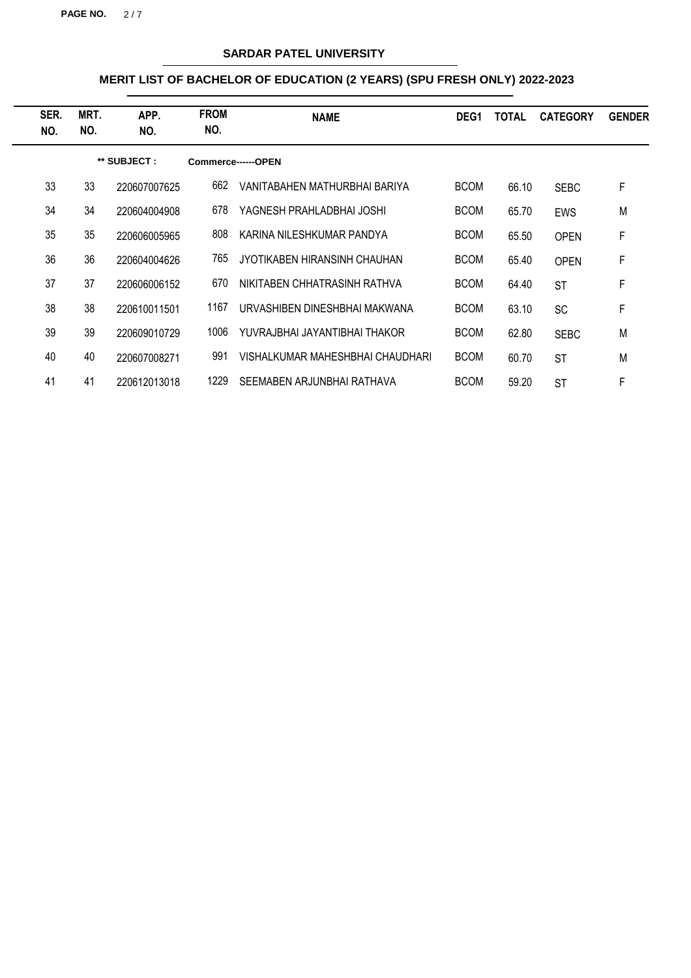**PAGE NO.** 2/7

# **SARDAR PATEL UNIVERSITY**

| SER.<br>NO. | MRT.<br>NO. | APP.<br>NO.  | <b>FROM</b><br>NO. | <b>NAME</b>                      | DEG <sub>1</sub> | <b>TOTAL</b> | <b>CATEGORY</b> | <b>GENDER</b> |
|-------------|-------------|--------------|--------------------|----------------------------------|------------------|--------------|-----------------|---------------|
|             |             | ** SUBJECT : |                    | Commerce------OPEN               |                  |              |                 |               |
| 33          | 33          | 220607007625 | 662                | VANITABAHEN MATHURBHAI BARIYA    | <b>BCOM</b>      | 66.10        | <b>SEBC</b>     | F             |
| 34          | 34          | 220604004908 | 678                | YAGNESH PRAHLADBHAI JOSHI        | <b>BCOM</b>      | 65.70        | <b>EWS</b>      | M             |
| 35          | 35          | 220606005965 | 808                | KARINA NILESHKUMAR PANDYA        | <b>BCOM</b>      | 65.50        | <b>OPEN</b>     | F             |
| 36          | 36          | 220604004626 | 765                | JYOTIKABEN HIRANSINH CHAUHAN     | <b>BCOM</b>      | 65.40        | <b>OPEN</b>     | F             |
| 37          | 37          | 220606006152 | 670                | NIKITABEN CHHATRASINH RATHVA     | <b>BCOM</b>      | 64.40        | <b>ST</b>       | F             |
| 38          | 38          | 220610011501 | 1167               | URVASHIBEN DINESHBHAI MAKWANA    | <b>BCOM</b>      | 63.10        | <b>SC</b>       | F             |
| 39          | 39          | 220609010729 | 1006               | YUVRAJBHALJAYANTIBHAI THAKOR     | <b>BCOM</b>      | 62.80        | <b>SEBC</b>     | M             |
| 40          | 40          | 220607008271 | 991                | VISHALKUMAR MAHESHBHAI CHAUDHARI | <b>BCOM</b>      | 60.70        | <b>ST</b>       | M             |
| 41          | 41          | 220612013018 | 1229               | SEEMABEN ARJUNBHAI RATHAVA       | <b>BCOM</b>      | 59.20        | <b>ST</b>       | F             |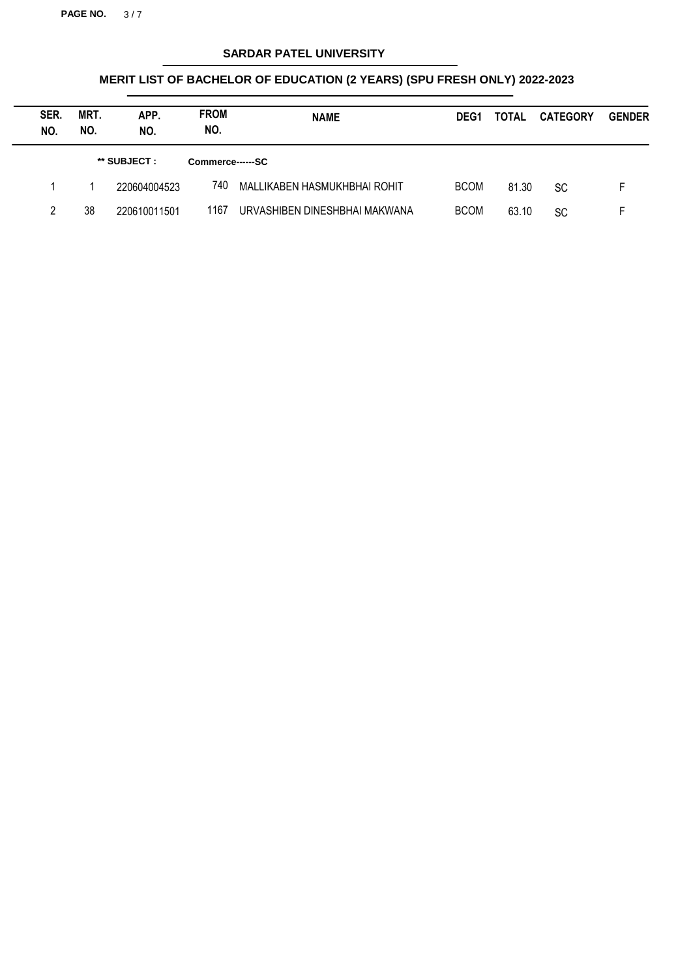**PAGE NO.** 3/7

# **SARDAR PATEL UNIVERSITY**

| SER.<br>NO. | MRT.<br>NO. | APP.<br>NO.  | <b>FROM</b><br>NO. | <b>NAME</b>                   | DEG <sub>1</sub> | <b>TOTAL</b> | <b>CATEGORY</b> | <b>GENDER</b> |
|-------------|-------------|--------------|--------------------|-------------------------------|------------------|--------------|-----------------|---------------|
|             |             | ** SUBJECT : | Commerce------SC   |                               |                  |              |                 |               |
|             |             | 220604004523 | 740                | MALLIKABEN HASMUKHBHAI ROHIT  | <b>BCOM</b>      | 81.30        | <b>SC</b>       |               |
| 2           | 38          | 220610011501 | 1167               | URVASHIBEN DINESHBHAI MAKWANA | <b>BCOM</b>      | 63.10        | SC              |               |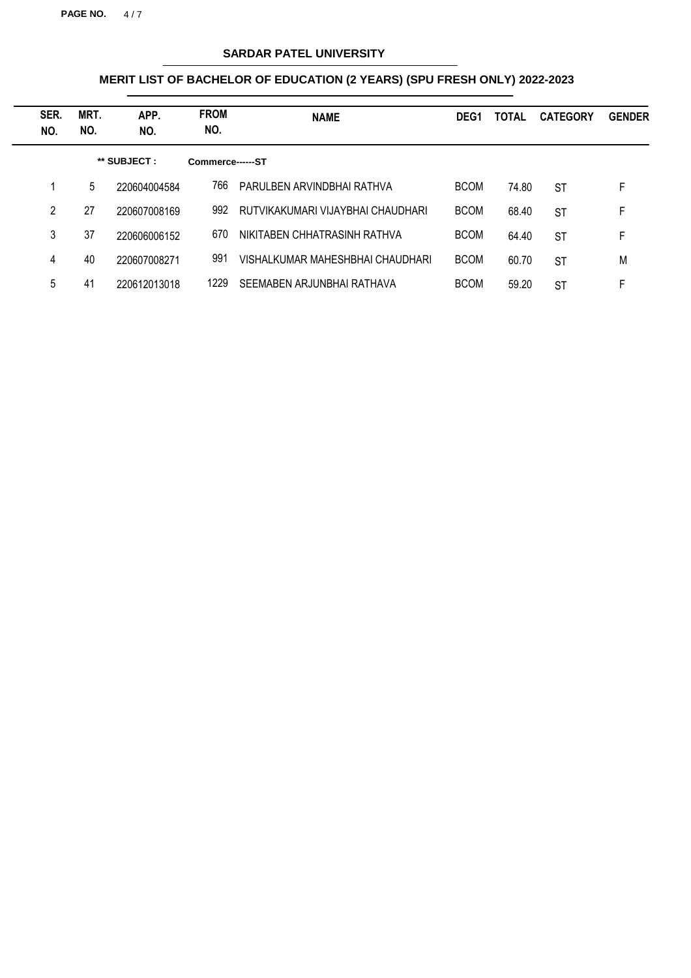**PAGE NO.** 4 / 7

# **SARDAR PATEL UNIVERSITY**

| SER.<br>NO. | MRT.<br>NO. | APP.<br>NO.  | <b>FROM</b><br>NO. | <b>NAME</b>                       | DEG <sub>1</sub> | <b>TOTAL</b> | <b>CATEGORY</b> | <b>GENDER</b> |
|-------------|-------------|--------------|--------------------|-----------------------------------|------------------|--------------|-----------------|---------------|
|             |             | ** SUBJECT : | Commerce------ST   |                                   |                  |              |                 |               |
|             | 5           | 220604004584 | 766                | PARULBEN ARVINDBHAI RATHVA        | <b>BCOM</b>      | 74.80        | <b>ST</b>       | F.            |
| 2           | 27          | 220607008169 | 992                | RUTVIKAKUMARI VIJAYBHAI CHAUDHARI | <b>BCOM</b>      | 68.40        | <b>ST</b>       | F             |
| 3           | 37          | 220606006152 | 670                | NIKITABEN CHHATRASINH RATHVA      | <b>BCOM</b>      | 64.40        | <b>ST</b>       | F             |
| 4           | 40          | 220607008271 | 991                | VISHALKUMAR MAHESHBHAI CHAUDHARI  | <b>BCOM</b>      | 60.70        | <b>ST</b>       | M             |
| 5           | 41          | 220612013018 | 1229               | SEEMABEN ARJUNBHAI RATHAVA        | <b>BCOM</b>      | 59.20        | <b>ST</b>       | F             |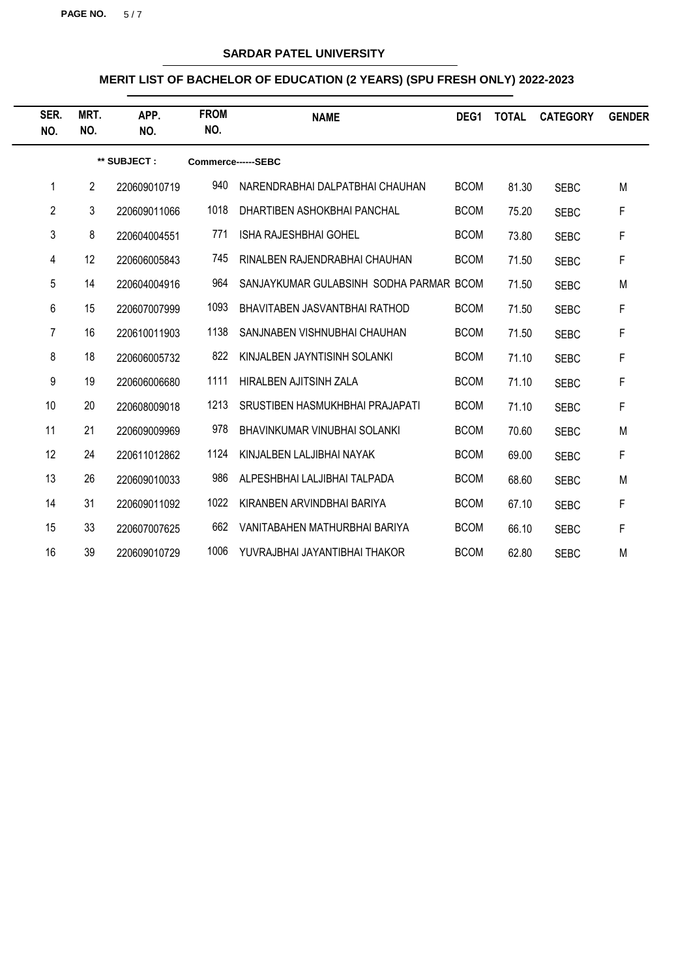**PAGE NO.** 5/7

# **SARDAR PATEL UNIVERSITY**

| SER.<br>NO.    | MRT.<br>NO.    | APP.<br>NO.  | <b>FROM</b><br>NO. | <b>NAME</b>                             | DEG1        | <b>TOTAL</b> | <b>CATEGORY</b> | <b>GENDER</b> |
|----------------|----------------|--------------|--------------------|-----------------------------------------|-------------|--------------|-----------------|---------------|
|                |                | ** SUBJECT:  |                    | Commerce------SEBC                      |             |              |                 |               |
| 1              | $\overline{2}$ | 220609010719 | 940                | NARENDRABHAI DALPATBHAI CHAUHAN         | <b>BCOM</b> | 81.30        | <b>SEBC</b>     | M             |
| $\overline{2}$ | 3              | 220609011066 | 1018               | DHARTIBEN ASHOKBHAI PANCHAL             | <b>BCOM</b> | 75.20        | <b>SEBC</b>     | F             |
| 3              | 8              | 220604004551 | 771                | <b>ISHA RAJESHBHAI GOHEL</b>            | <b>BCOM</b> | 73.80        | <b>SEBC</b>     | F             |
| 4              | 12             | 220606005843 | 745                | RINALBEN RAJENDRABHAI CHAUHAN           | <b>BCOM</b> | 71.50        | <b>SEBC</b>     | F             |
| 5              | 14             | 220604004916 | 964                | SANJAYKUMAR GULABSINH SODHA PARMAR BCOM |             | 71.50        | <b>SEBC</b>     | M             |
| 6              | 15             | 220607007999 | 1093               | BHAVITABEN JASVANTBHAI RATHOD           | <b>BCOM</b> | 71.50        | <b>SEBC</b>     | F             |
| 7              | 16             | 220610011903 | 1138               | SANJNABEN VISHNUBHAI CHAUHAN            | <b>BCOM</b> | 71.50        | <b>SEBC</b>     | F             |
| 8              | 18             | 220606005732 | 822                | KINJALBEN JAYNTISINH SOLANKI            | <b>BCOM</b> | 71.10        | <b>SEBC</b>     | F             |
| 9              | 19             | 220606006680 | 1111               | HIRALBEN AJITSINH ZALA                  | <b>BCOM</b> | 71.10        | <b>SEBC</b>     | F             |
| 10             | 20             | 220608009018 | 1213               | SRUSTIBEN HASMUKHBHAI PRAJAPATI         | <b>BCOM</b> | 71.10        | <b>SEBC</b>     | F             |
| 11             | 21             | 220609009969 | 978                | BHAVINKUMAR VINUBHAI SOLANKI            | <b>BCOM</b> | 70.60        | <b>SEBC</b>     | M             |
| 12             | 24             | 220611012862 | 1124               | KINJALBEN LALJIBHAI NAYAK               | <b>BCOM</b> | 69.00        | <b>SEBC</b>     | F             |
| 13             | 26             | 220609010033 | 986                | ALPESHBHAI LALJIBHAI TALPADA            | <b>BCOM</b> | 68.60        | <b>SEBC</b>     | M             |
| 14             | 31             | 220609011092 | 1022               | KIRANBEN ARVINDBHAI BARIYA              | <b>BCOM</b> | 67.10        | <b>SEBC</b>     | F             |
| 15             | 33             | 220607007625 | 662                | VANITABAHEN MATHURBHAI BARIYA           | <b>BCOM</b> | 66.10        | <b>SEBC</b>     | F             |
| 16             | 39             | 220609010729 | 1006               | YUVRAJBHAI JAYANTIBHAI THAKOR           | <b>BCOM</b> | 62.80        | <b>SEBC</b>     | M             |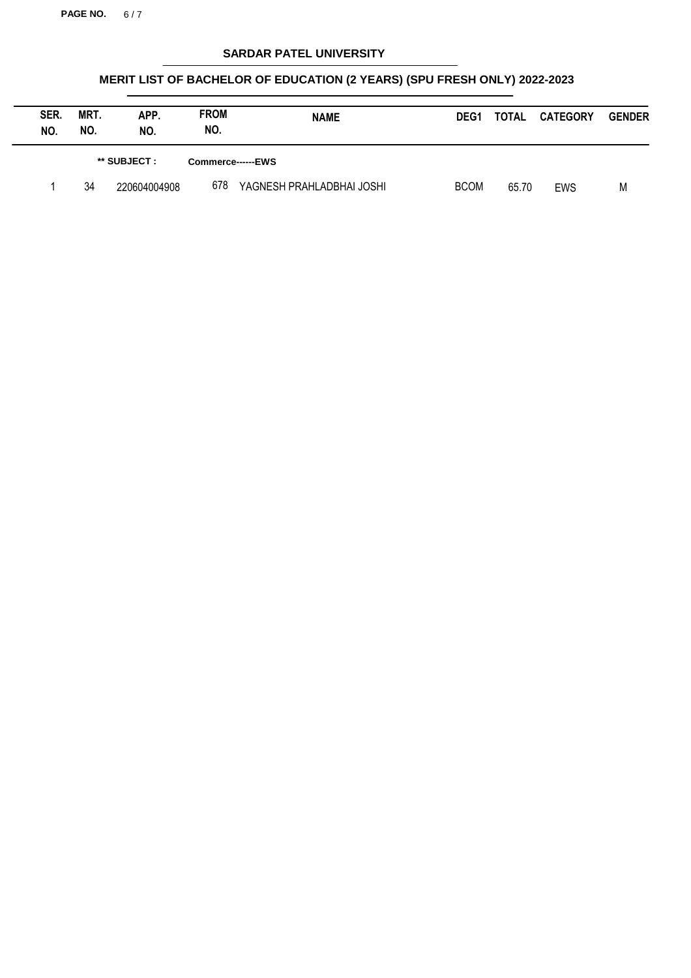**PAGE NO.** 6 / 7

# **SARDAR PATEL UNIVERSITY**

| SER.<br>NO. | MRT.<br>NO. | APP.<br>NO.    | <b>FROM</b><br>NO. | <b>NAME</b>               | DEG <sub>1</sub> | TOTAL | <b>CATEGORY</b> | <b>GENDER</b> |
|-------------|-------------|----------------|--------------------|---------------------------|------------------|-------|-----------------|---------------|
|             |             | $**$ SUBJECT : |                    | Commerce------EWS         |                  |       |                 |               |
|             | 34          | 220604004908   | 678                | YAGNESH PRAHLADBHAI JOSHI | <b>BCOM</b>      | 65.70 | EWS             | M             |